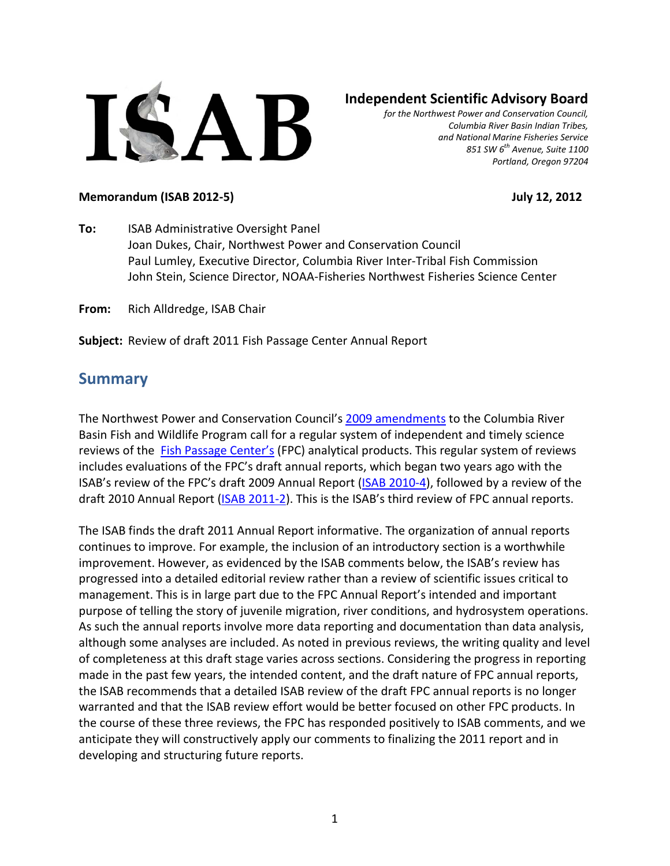

### **Independent Scientific Advisory Board**

*for the Northwest Power and Conservation Council, Columbia River Basin Indian Tribes, and National Marine Fisheries Service 851 SW 6th Avenue, Suite 1100 Portland, Oregon 97204*

#### **Memorandum (ISAB 2012-5) July 12, 2012**

**To:** ISAB Administrative Oversight Panel Joan Dukes, Chair, Northwest Power and Conservation Council Paul Lumley, Executive Director, Columbia River Inter-Tribal Fish Commission John Stein, Science Director, NOAA-Fisheries Northwest Fisheries Science Center

**From:** Rich Alldredge, ISAB Chair

**Subject:** Review of draft 2011 Fish Passage Center Annual Report

### **Summary**

The Northwest Power and Conservation Council's [2009 amendments](http://www.nwcouncil.org/library/2009/2009-09) to the Columbia River Basin Fish and Wildlife Program call for a regular system of independent and timely science reviews of the [Fish Passage Center's](http://www.fpc.org/) (FPC) analytical products. This regular system of reviews includes evaluations of the FPC's draft annual reports, which began two years ago with the ISAB's review of the FPC's draft 2009 Annual Report [\(ISAB 2010-4\)](http://www.nwcouncil.org/library/isab/isab2010-4.htm), followed by a review of the draft 2010 Annual Report [\(ISAB 2011-2\)](http://www.nwcouncil.org/library/report.asp?d=298). This is the ISAB's third review of FPC annual reports.

The ISAB finds the draft 2011 Annual Report informative. The organization of annual reports continues to improve. For example, the inclusion of an introductory section is a worthwhile improvement. However, as evidenced by the ISAB comments below, the ISAB's review has progressed into a detailed editorial review rather than a review of scientific issues critical to management. This is in large part due to the FPC Annual Report's intended and important purpose of telling the story of juvenile migration, river conditions, and hydrosystem operations. As such the annual reports involve more data reporting and documentation than data analysis, although some analyses are included. As noted in previous reviews, the writing quality and level of completeness at this draft stage varies across sections. Considering the progress in reporting made in the past few years, the intended content, and the draft nature of FPC annual reports, the ISAB recommends that a detailed ISAB review of the draft FPC annual reports is no longer warranted and that the ISAB review effort would be better focused on other FPC products. In the course of these three reviews, the FPC has responded positively to ISAB comments, and we anticipate they will constructively apply our comments to finalizing the 2011 report and in developing and structuring future reports.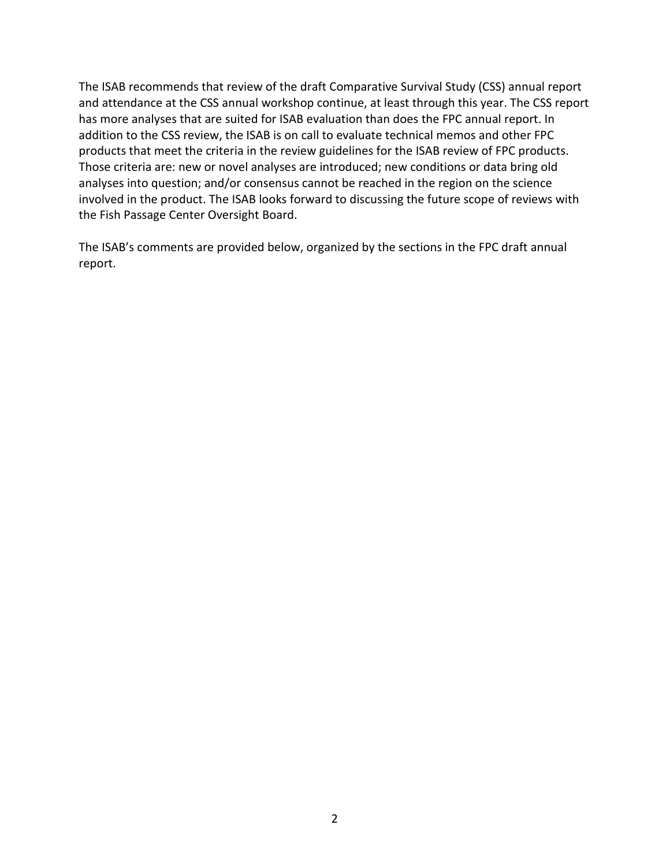The ISAB recommends that review of the draft Comparative Survival Study (CSS) annual report and attendance at the CSS annual workshop continue, at least through this year. The CSS report has more analyses that are suited for ISAB evaluation than does the FPC annual report. In addition to the CSS review, the ISAB is on call to evaluate technical memos and other FPC products that meet the criteria in the review guidelines for the ISAB review of FPC products. Those criteria are: new or novel analyses are introduced; new conditions or data bring old analyses into question; and/or consensus cannot be reached in the region on the science involved in the product. The ISAB looks forward to discussing the future scope of reviews with the Fish Passage Center Oversight Board.

The ISAB's comments are provided below, organized by the sections in the FPC draft annual report.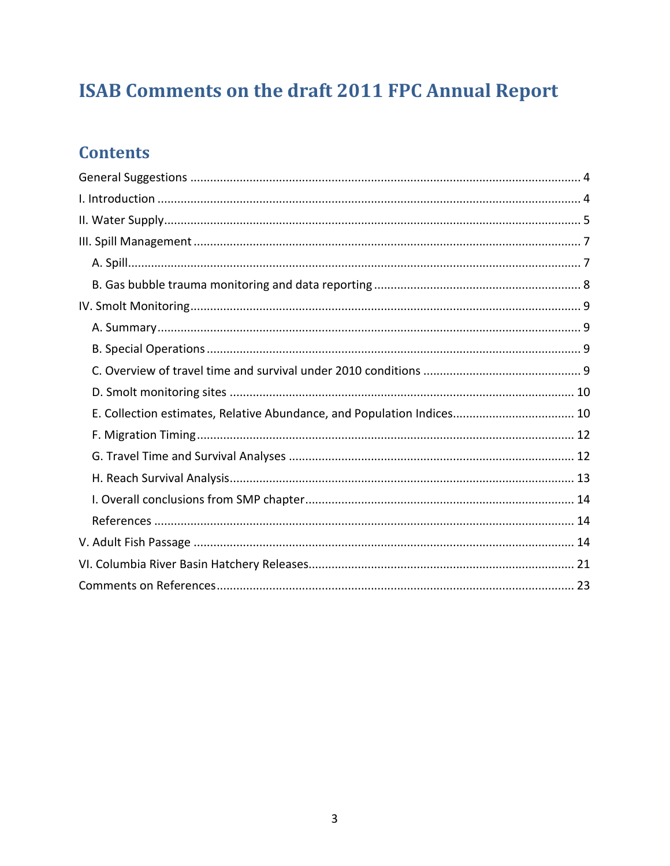# **ISAB Comments on the draft 2011 FPC Annual Report**

## **Contents**

| E. Collection estimates, Relative Abundance, and Population Indices 10 |
|------------------------------------------------------------------------|
|                                                                        |
|                                                                        |
|                                                                        |
|                                                                        |
|                                                                        |
|                                                                        |
|                                                                        |
|                                                                        |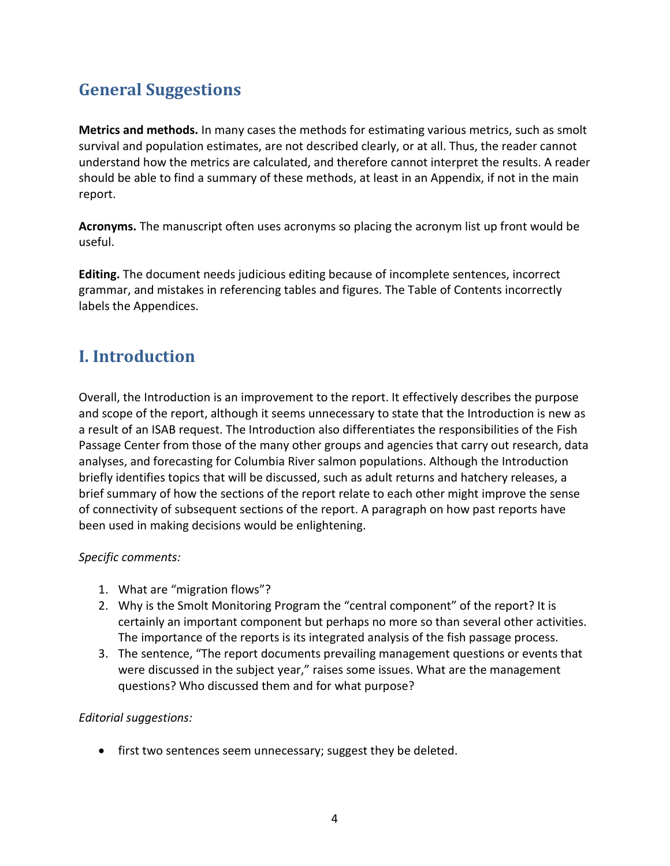## <span id="page-3-0"></span>**General Suggestions**

**Metrics and methods.** In many cases the methods for estimating various metrics, such as smolt survival and population estimates, are not described clearly, or at all. Thus, the reader cannot understand how the metrics are calculated, and therefore cannot interpret the results. A reader should be able to find a summary of these methods, at least in an Appendix, if not in the main report.

**Acronyms.** The manuscript often uses acronyms so placing the acronym list up front would be useful.

**Editing.** The document needs judicious editing because of incomplete sentences, incorrect grammar, and mistakes in referencing tables and figures. The Table of Contents incorrectly labels the Appendices.

## <span id="page-3-1"></span>**I. Introduction**

Overall, the Introduction is an improvement to the report. It effectively describes the purpose and scope of the report, although it seems unnecessary to state that the Introduction is new as a result of an ISAB request. The Introduction also differentiates the responsibilities of the Fish Passage Center from those of the many other groups and agencies that carry out research, data analyses, and forecasting for Columbia River salmon populations. Although the Introduction briefly identifies topics that will be discussed, such as adult returns and hatchery releases, a brief summary of how the sections of the report relate to each other might improve the sense of connectivity of subsequent sections of the report. A paragraph on how past reports have been used in making decisions would be enlightening.

#### *Specific comments:*

- 1. What are "migration flows"?
- 2. Why is the Smolt Monitoring Program the "central component" of the report? It is certainly an important component but perhaps no more so than several other activities. The importance of the reports is its integrated analysis of the fish passage process.
- 3. The sentence, "The report documents prevailing management questions or events that were discussed in the subject year," raises some issues. What are the management questions? Who discussed them and for what purpose?

#### *Editorial suggestions:*

• first two sentences seem unnecessary; suggest they be deleted.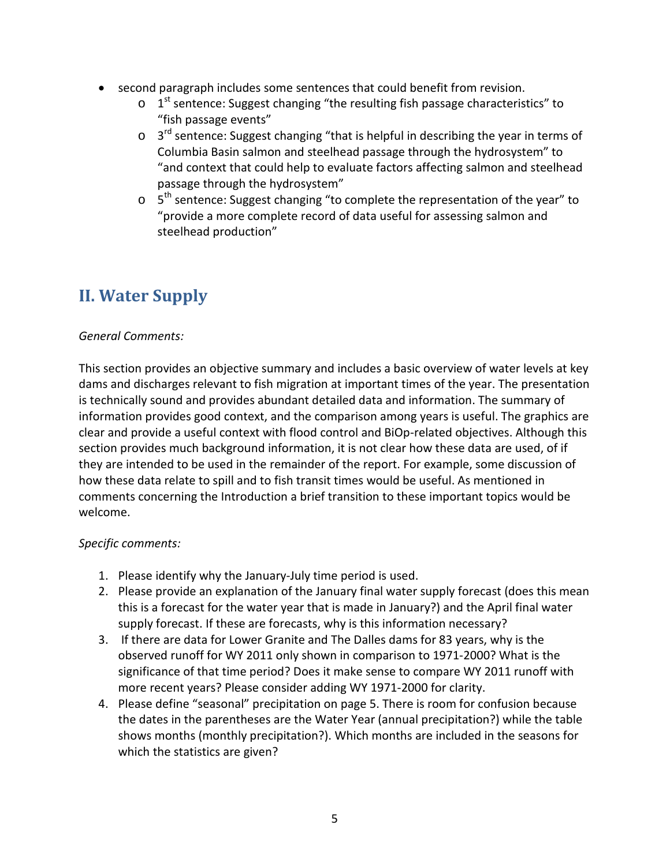- second paragraph includes some sentences that could benefit from revision.
	- $\circ$  1<sup>st</sup> sentence: Suggest changing "the resulting fish passage characteristics" to "fish passage events"
	- $\circ$  3<sup>rd</sup> sentence: Suggest changing "that is helpful in describing the year in terms of Columbia Basin salmon and steelhead passage through the hydrosystem" to "and context that could help to evaluate factors affecting salmon and steelhead passage through the hydrosystem"
	- $5<sup>th</sup>$  sentence: Suggest changing "to complete the representation of the year" to "provide a more complete record of data useful for assessing salmon and steelhead production"

## <span id="page-4-0"></span>**II. Water Supply**

#### *General Comments:*

This section provides an objective summary and includes a basic overview of water levels at key dams and discharges relevant to fish migration at important times of the year. The presentation is technically sound and provides abundant detailed data and information. The summary of information provides good context, and the comparison among years is useful. The graphics are clear and provide a useful context with flood control and BiOp-related objectives. Although this section provides much background information, it is not clear how these data are used, of if they are intended to be used in the remainder of the report. For example, some discussion of how these data relate to spill and to fish transit times would be useful. As mentioned in comments concerning the Introduction a brief transition to these important topics would be welcome.

#### *Specific comments:*

- 1. Please identify why the January-July time period is used.
- 2. Please provide an explanation of the January final water supply forecast (does this mean this is a forecast for the water year that is made in January?) and the April final water supply forecast. If these are forecasts, why is this information necessary?
- 3. If there are data for Lower Granite and The Dalles dams for 83 years, why is the observed runoff for WY 2011 only shown in comparison to 1971-2000? What is the significance of that time period? Does it make sense to compare WY 2011 runoff with more recent years? Please consider adding WY 1971-2000 for clarity.
- 4. Please define "seasonal" precipitation on page 5. There is room for confusion because the dates in the parentheses are the Water Year (annual precipitation?) while the table shows months (monthly precipitation?). Which months are included in the seasons for which the statistics are given?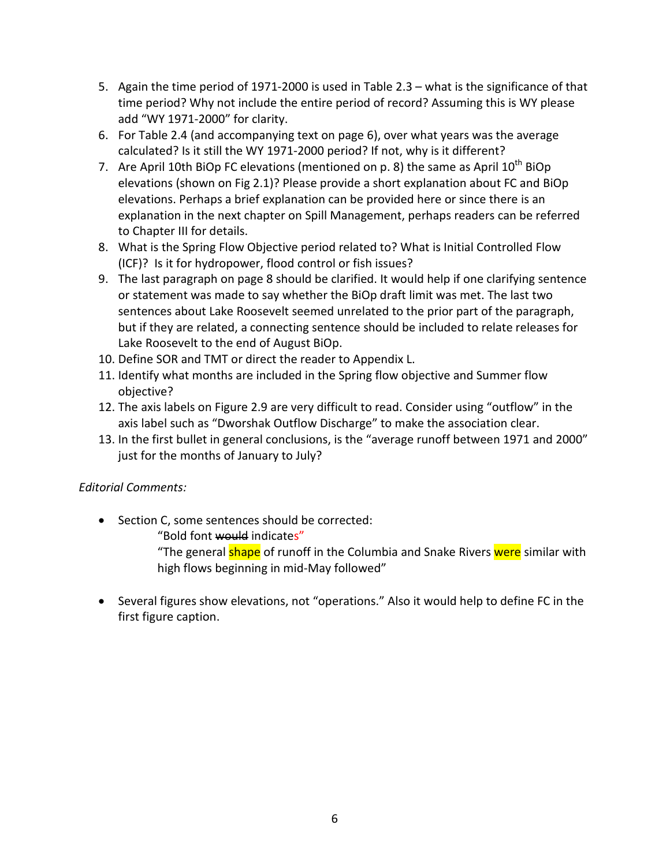- 5. Again the time period of 1971-2000 is used in Table 2.3 what is the significance of that time period? Why not include the entire period of record? Assuming this is WY please add "WY 1971-2000" for clarity.
- 6. For Table 2.4 (and accompanying text on page 6), over what years was the average calculated? Is it still the WY 1971-2000 period? If not, why is it different?
- 7. Are April 10th BiOp FC elevations (mentioned on p. 8) the same as April  $10^{th}$  BiOp elevations (shown on Fig 2.1)? Please provide a short explanation about FC and BiOp elevations. Perhaps a brief explanation can be provided here or since there is an explanation in the next chapter on Spill Management, perhaps readers can be referred to Chapter III for details.
- 8. What is the Spring Flow Objective period related to? What is Initial Controlled Flow (ICF)? Is it for hydropower, flood control or fish issues?
- 9. The last paragraph on page 8 should be clarified. It would help if one clarifying sentence or statement was made to say whether the BiOp draft limit was met. The last two sentences about Lake Roosevelt seemed unrelated to the prior part of the paragraph, but if they are related, a connecting sentence should be included to relate releases for Lake Roosevelt to the end of August BiOp.
- 10. Define SOR and TMT or direct the reader to Appendix L.
- 11. Identify what months are included in the Spring flow objective and Summer flow objective?
- 12. The axis labels on Figure 2.9 are very difficult to read. Consider using "outflow" in the axis label such as "Dworshak Outflow Discharge" to make the association clear.
- 13. In the first bullet in general conclusions, is the "average runoff between 1971 and 2000" just for the months of January to July?

#### *Editorial Comments:*

• Section C, some sentences should be corrected:

"Bold font would indicates"

"The general shape of runoff in the Columbia and Snake Rivers were similar with high flows beginning in mid-May followed"

• Several figures show elevations, not "operations." Also it would help to define FC in the first figure caption.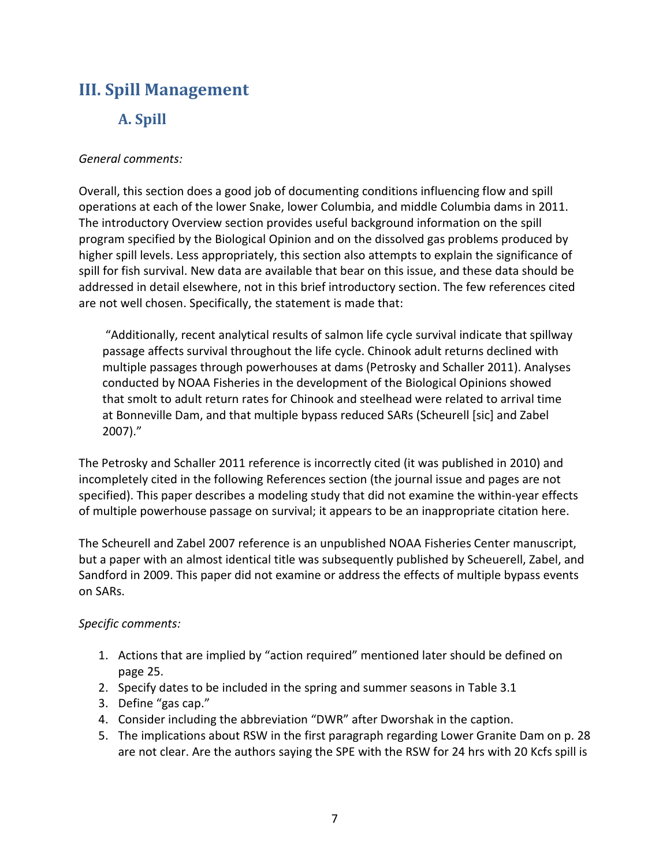## <span id="page-6-1"></span><span id="page-6-0"></span>**III. Spill Management**

### **A. Spill**

#### *General comments:*

Overall, this section does a good job of documenting conditions influencing flow and spill operations at each of the lower Snake, lower Columbia, and middle Columbia dams in 2011. The introductory Overview section provides useful background information on the spill program specified by the Biological Opinion and on the dissolved gas problems produced by higher spill levels. Less appropriately, this section also attempts to explain the significance of spill for fish survival. New data are available that bear on this issue, and these data should be addressed in detail elsewhere, not in this brief introductory section. The few references cited are not well chosen. Specifically, the statement is made that:

"Additionally, recent analytical results of salmon life cycle survival indicate that spillway passage affects survival throughout the life cycle. Chinook adult returns declined with multiple passages through powerhouses at dams (Petrosky and Schaller 2011). Analyses conducted by NOAA Fisheries in the development of the Biological Opinions showed that smolt to adult return rates for Chinook and steelhead were related to arrival time at Bonneville Dam, and that multiple bypass reduced SARs (Scheurell [sic] and Zabel 2007)."

The Petrosky and Schaller 2011 reference is incorrectly cited (it was published in 2010) and incompletely cited in the following References section (the journal issue and pages are not specified). This paper describes a modeling study that did not examine the within-year effects of multiple powerhouse passage on survival; it appears to be an inappropriate citation here.

The Scheurell and Zabel 2007 reference is an unpublished NOAA Fisheries Center manuscript, but a paper with an almost identical title was subsequently published by Scheuerell, Zabel, and Sandford in 2009. This paper did not examine or address the effects of multiple bypass events on SARs.

#### *Specific comments:*

- 1. Actions that are implied by "action required" mentioned later should be defined on page 25.
- 2. Specify dates to be included in the spring and summer seasons in Table 3.1
- 3. Define "gas cap."
- 4. Consider including the abbreviation "DWR" after Dworshak in the caption.
- 5. The implications about RSW in the first paragraph regarding Lower Granite Dam on p. 28 are not clear. Are the authors saying the SPE with the RSW for 24 hrs with 20 Kcfs spill is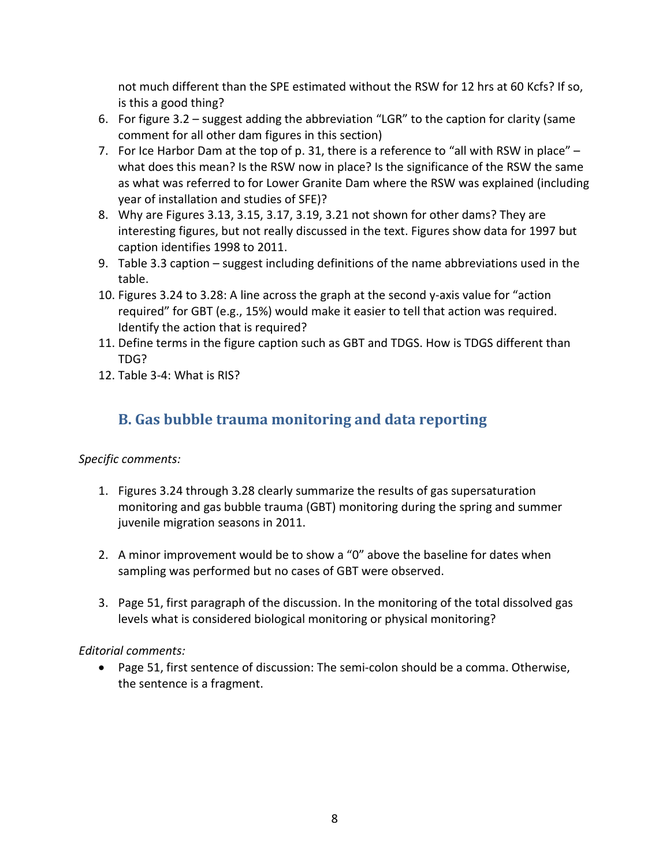not much different than the SPE estimated without the RSW for 12 hrs at 60 Kcfs? If so, is this a good thing?

- 6. For figure 3.2 suggest adding the abbreviation "LGR" to the caption for clarity (same comment for all other dam figures in this section)
- 7. For Ice Harbor Dam at the top of p. 31, there is a reference to "all with RSW in place"  $$ what does this mean? Is the RSW now in place? Is the significance of the RSW the same as what was referred to for Lower Granite Dam where the RSW was explained (including year of installation and studies of SFE)?
- 8. Why are Figures 3.13, 3.15, 3.17, 3.19, 3.21 not shown for other dams? They are interesting figures, but not really discussed in the text. Figures show data for 1997 but caption identifies 1998 to 2011.
- 9. Table 3.3 caption suggest including definitions of the name abbreviations used in the table.
- 10. Figures 3.24 to 3.28: A line across the graph at the second y-axis value for "action required" for GBT (e.g., 15%) would make it easier to tell that action was required. Identify the action that is required?
- 11. Define terms in the figure caption such as GBT and TDGS. How is TDGS different than TDG?
- 12. Table 3-4: What is RIS?

## <span id="page-7-0"></span>**B. Gas bubble trauma monitoring and data reporting**

#### *Specific comments:*

- 1. Figures 3.24 through 3.28 clearly summarize the results of gas supersaturation monitoring and gas bubble trauma (GBT) monitoring during the spring and summer juvenile migration seasons in 2011.
- 2. A minor improvement would be to show a "0" above the baseline for dates when sampling was performed but no cases of GBT were observed.
- 3. Page 51, first paragraph of the discussion. In the monitoring of the total dissolved gas levels what is considered biological monitoring or physical monitoring?

#### *Editorial comments:*

• Page 51, first sentence of discussion: The semi-colon should be a comma. Otherwise, the sentence is a fragment.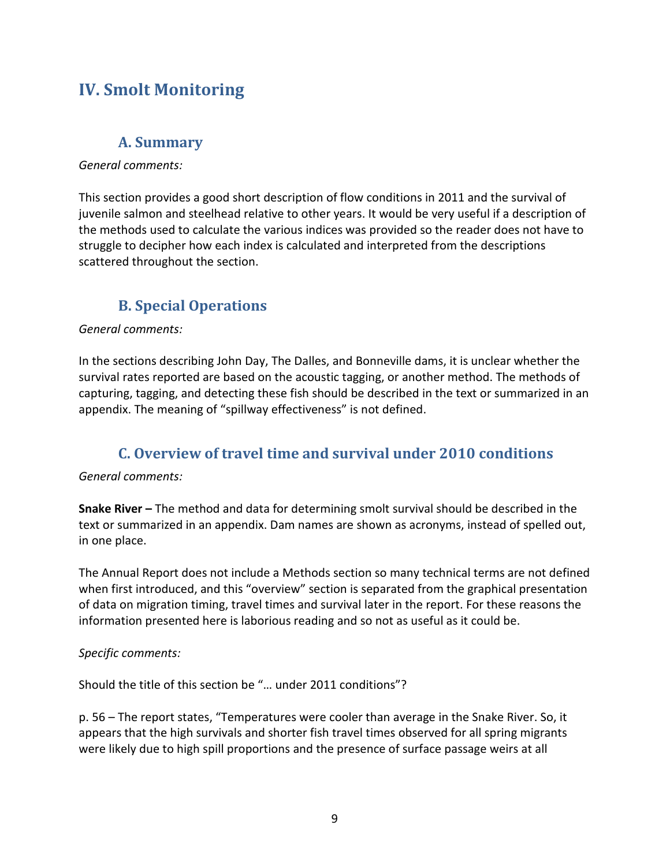## <span id="page-8-0"></span>**IV. Smolt Monitoring**

### **A. Summary**

#### <span id="page-8-1"></span>*General comments:*

This section provides a good short description of flow conditions in 2011 and the survival of juvenile salmon and steelhead relative to other years. It would be very useful if a description of the methods used to calculate the various indices was provided so the reader does not have to struggle to decipher how each index is calculated and interpreted from the descriptions scattered throughout the section.

## **B. Special Operations**

#### <span id="page-8-2"></span>*General comments:*

In the sections describing John Day, The Dalles, and Bonneville dams, it is unclear whether the survival rates reported are based on the acoustic tagging, or another method. The methods of capturing, tagging, and detecting these fish should be described in the text or summarized in an appendix. The meaning of "spillway effectiveness" is not defined.

### **C. Overview of travel time and survival under 2010 conditions**

#### <span id="page-8-3"></span>*General comments:*

**Snake River –** The method and data for determining smolt survival should be described in the text or summarized in an appendix. Dam names are shown as acronyms, instead of spelled out, in one place.

The Annual Report does not include a Methods section so many technical terms are not defined when first introduced, and this "overview" section is separated from the graphical presentation of data on migration timing, travel times and survival later in the report. For these reasons the information presented here is laborious reading and so not as useful as it could be.

#### *Specific comments:*

Should the title of this section be "… under 2011 conditions"?

p. 56 – The report states, "Temperatures were cooler than average in the Snake River. So, it appears that the high survivals and shorter fish travel times observed for all spring migrants were likely due to high spill proportions and the presence of surface passage weirs at all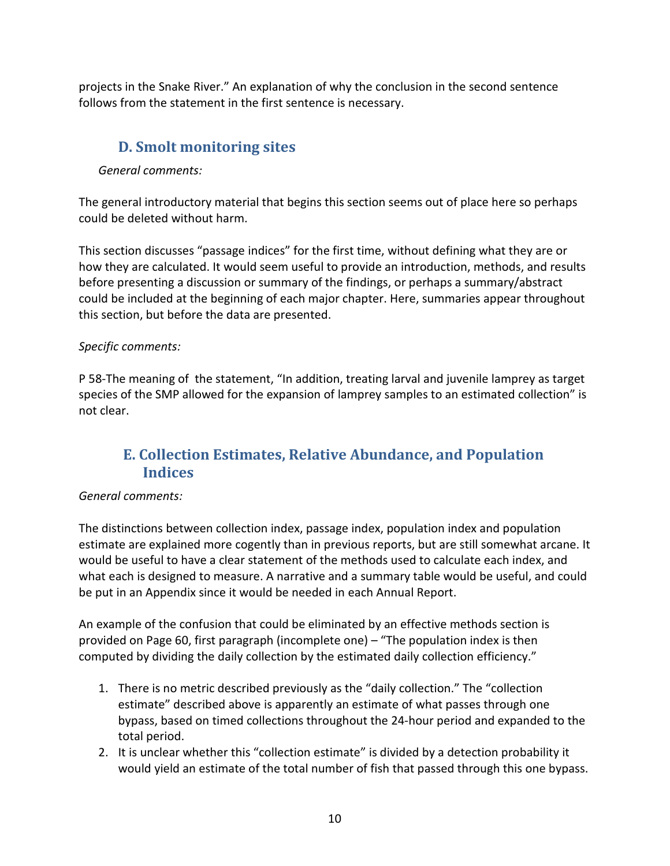projects in the Snake River." An explanation of why the conclusion in the second sentence follows from the statement in the first sentence is necessary.

### <span id="page-9-0"></span>**D. Smolt monitoring sites**

#### *General comments:*

The general introductory material that begins this section seems out of place here so perhaps could be deleted without harm.

This section discusses "passage indices" for the first time, without defining what they are or how they are calculated. It would seem useful to provide an introduction, methods, and results before presenting a discussion or summary of the findings, or perhaps a summary/abstract could be included at the beginning of each major chapter. Here, summaries appear throughout this section, but before the data are presented.

#### *Specific comments:*

P 58-The meaning of the statement, "In addition, treating larval and juvenile lamprey as target species of the SMP allowed for the expansion of lamprey samples to an estimated collection" is not clear.

### <span id="page-9-1"></span>**E. Collection Estimates, Relative Abundance, and Population Indices**

#### *General comments:*

The distinctions between collection index, passage index, population index and population estimate are explained more cogently than in previous reports, but are still somewhat arcane. It would be useful to have a clear statement of the methods used to calculate each index, and what each is designed to measure. A narrative and a summary table would be useful, and could be put in an Appendix since it would be needed in each Annual Report.

An example of the confusion that could be eliminated by an effective methods section is provided on Page 60, first paragraph (incomplete one) – "The population index is then computed by dividing the daily collection by the estimated daily collection efficiency."

- 1. There is no metric described previously as the "daily collection." The "collection estimate" described above is apparently an estimate of what passes through one bypass, based on timed collections throughout the 24-hour period and expanded to the total period.
- 2. It is unclear whether this "collection estimate" is divided by a detection probability it would yield an estimate of the total number of fish that passed through this one bypass.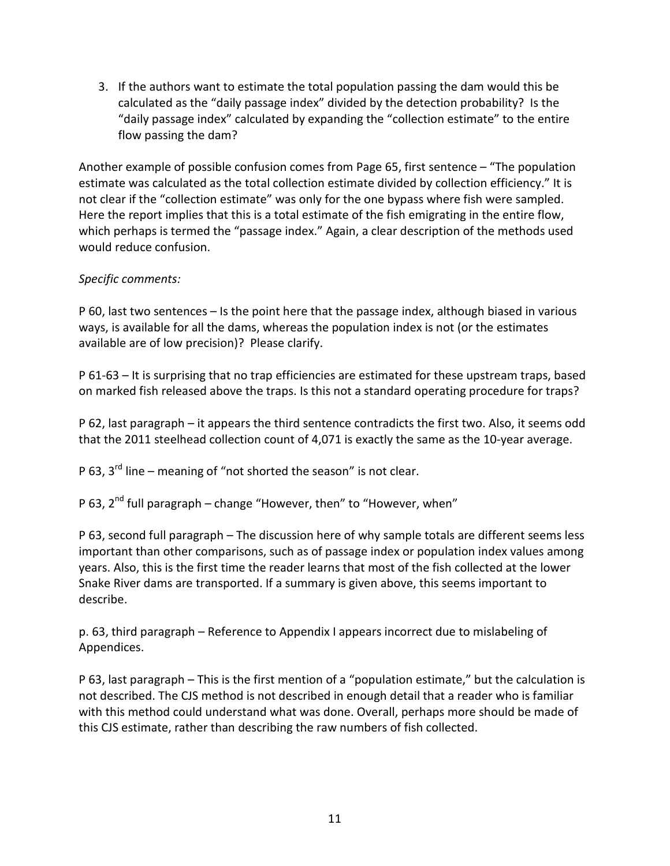3. If the authors want to estimate the total population passing the dam would this be calculated as the "daily passage index" divided by the detection probability? Is the "daily passage index" calculated by expanding the "collection estimate" to the entire flow passing the dam?

Another example of possible confusion comes from Page 65, first sentence – "The population estimate was calculated as the total collection estimate divided by collection efficiency." It is not clear if the "collection estimate" was only for the one bypass where fish were sampled. Here the report implies that this is a total estimate of the fish emigrating in the entire flow, which perhaps is termed the "passage index." Again, a clear description of the methods used would reduce confusion.

#### *Specific comments:*

P 60, last two sentences – Is the point here that the passage index, although biased in various ways, is available for all the dams, whereas the population index is not (or the estimates available are of low precision)? Please clarify.

P 61-63 – It is surprising that no trap efficiencies are estimated for these upstream traps, based on marked fish released above the traps. Is this not a standard operating procedure for traps?

P 62, last paragraph – it appears the third sentence contradicts the first two. Also, it seems odd that the 2011 steelhead collection count of 4,071 is exactly the same as the 10-year average.

P 63.  $3^{rd}$  line – meaning of "not shorted the season" is not clear.

P 63,  $2^{nd}$  full paragraph – change "However, then" to "However, when"

P 63, second full paragraph – The discussion here of why sample totals are different seems less important than other comparisons, such as of passage index or population index values among years. Also, this is the first time the reader learns that most of the fish collected at the lower Snake River dams are transported. If a summary is given above, this seems important to describe.

p. 63, third paragraph – Reference to Appendix I appears incorrect due to mislabeling of Appendices.

P 63, last paragraph – This is the first mention of a "population estimate," but the calculation is not described. The CJS method is not described in enough detail that a reader who is familiar with this method could understand what was done. Overall, perhaps more should be made of this CJS estimate, rather than describing the raw numbers of fish collected.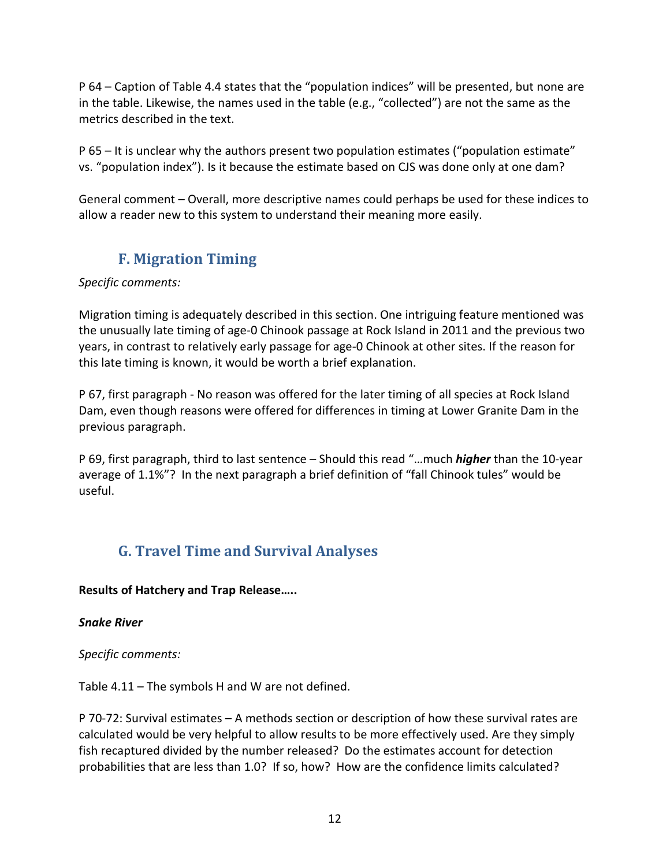P 64 – Caption of Table 4.4 states that the "population indices" will be presented, but none are in the table. Likewise, the names used in the table (e.g., "collected") are not the same as the metrics described in the text.

P 65 – It is unclear why the authors present two population estimates ("population estimate" vs. "population index"). Is it because the estimate based on CJS was done only at one dam?

General comment – Overall, more descriptive names could perhaps be used for these indices to allow a reader new to this system to understand their meaning more easily.

### **F. Migration Timing**

#### <span id="page-11-0"></span>*Specific comments:*

Migration timing is adequately described in this section. One intriguing feature mentioned was the unusually late timing of age-0 Chinook passage at Rock Island in 2011 and the previous two years, in contrast to relatively early passage for age-0 Chinook at other sites. If the reason for this late timing is known, it would be worth a brief explanation.

P 67, first paragraph - No reason was offered for the later timing of all species at Rock Island Dam, even though reasons were offered for differences in timing at Lower Granite Dam in the previous paragraph.

P 69, first paragraph, third to last sentence – Should this read "…much *higher* than the 10-year average of 1.1%"? In the next paragraph a brief definition of "fall Chinook tules" would be useful.

## <span id="page-11-1"></span>**G. Travel Time and Survival Analyses**

#### **Results of Hatchery and Trap Release…..**

#### *Snake River*

*Specific comments:*

Table 4.11 – The symbols H and W are not defined.

P 70-72: Survival estimates – A methods section or description of how these survival rates are calculated would be very helpful to allow results to be more effectively used. Are they simply fish recaptured divided by the number released? Do the estimates account for detection probabilities that are less than 1.0? If so, how? How are the confidence limits calculated?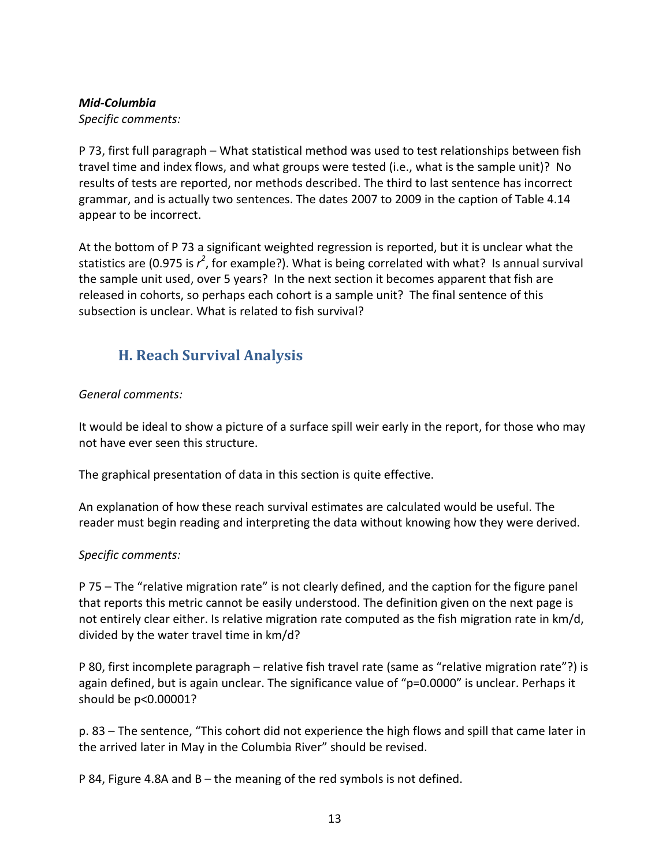#### *Mid-Columbia*

*Specific comments:*

P 73, first full paragraph – What statistical method was used to test relationships between fish travel time and index flows, and what groups were tested (i.e., what is the sample unit)? No results of tests are reported, nor methods described. The third to last sentence has incorrect grammar, and is actually two sentences. The dates 2007 to 2009 in the caption of Table 4.14 appear to be incorrect.

At the bottom of P 73 a significant weighted regression is reported, but it is unclear what the statistics are (0.975 is  $r^2$ , for example?). What is being correlated with what? Is annual survival the sample unit used, over 5 years? In the next section it becomes apparent that fish are released in cohorts, so perhaps each cohort is a sample unit? The final sentence of this subsection is unclear. What is related to fish survival?

## <span id="page-12-0"></span>**H. Reach Survival Analysis**

#### *General comments:*

It would be ideal to show a picture of a surface spill weir early in the report, for those who may not have ever seen this structure.

The graphical presentation of data in this section is quite effective.

An explanation of how these reach survival estimates are calculated would be useful. The reader must begin reading and interpreting the data without knowing how they were derived.

#### *Specific comments:*

P 75 – The "relative migration rate" is not clearly defined, and the caption for the figure panel that reports this metric cannot be easily understood. The definition given on the next page is not entirely clear either. Is relative migration rate computed as the fish migration rate in km/d, divided by the water travel time in km/d?

P 80, first incomplete paragraph – relative fish travel rate (same as "relative migration rate"?) is again defined, but is again unclear. The significance value of "p=0.0000" is unclear. Perhaps it should be p<0.00001?

p. 83 – The sentence, "This cohort did not experience the high flows and spill that came later in the arrived later in May in the Columbia River" should be revised.

P 84, Figure 4.8A and B – the meaning of the red symbols is not defined.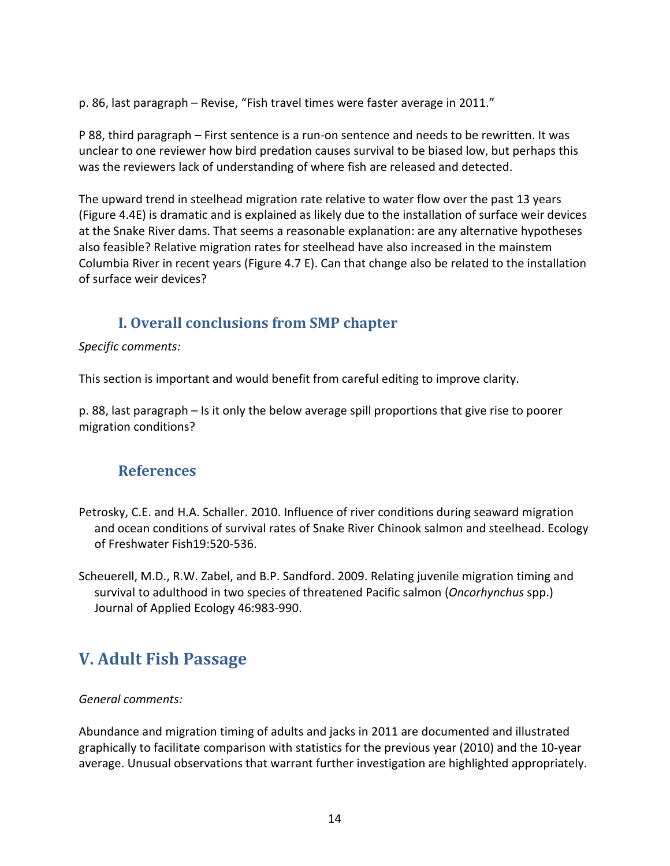p. 86, last paragraph – Revise, "Fish travel times were faster average in 2011."

P 88, third paragraph – First sentence is a run-on sentence and needs to be rewritten. It was unclear to one reviewer how bird predation causes survival to be biased low, but perhaps this was the reviewers lack of understanding of where fish are released and detected.

The upward trend in steelhead migration rate relative to water flow over the past 13 years (Figure 4.4E) is dramatic and is explained as likely due to the installation of surface weir devices at the Snake River dams. That seems a reasonable explanation: are any alternative hypotheses also feasible? Relative migration rates for steelhead have also increased in the mainstem Columbia River in recent years (Figure 4.7 E). Can that change also be related to the installation of surface weir devices?

### **I. Overall conclusions from SMP chapter**

<span id="page-13-0"></span>*Specific comments:*

This section is important and would benefit from careful editing to improve clarity.

p. 88, last paragraph – Is it only the below average spill proportions that give rise to poorer migration conditions?

### <span id="page-13-1"></span>**References**

- Petrosky, C.E. and H.A. Schaller. 2010. Influence of river conditions during seaward migration and ocean conditions of survival rates of Snake River Chinook salmon and steelhead. Ecology of Freshwater Fish19:520-536.
- Scheuerell, M.D., R.W. Zabel, and B.P. Sandford. 2009. Relating juvenile migration timing and survival to adulthood in two species of threatened Pacific salmon (*Oncorhynchus* spp.) Journal of Applied Ecology 46:983-990.

## <span id="page-13-2"></span>**V. Adult Fish Passage**

#### *General comments:*

Abundance and migration timing of adults and jacks in 2011 are documented and illustrated graphically to facilitate comparison with statistics for the previous year (2010) and the 10-year average. Unusual observations that warrant further investigation are highlighted appropriately.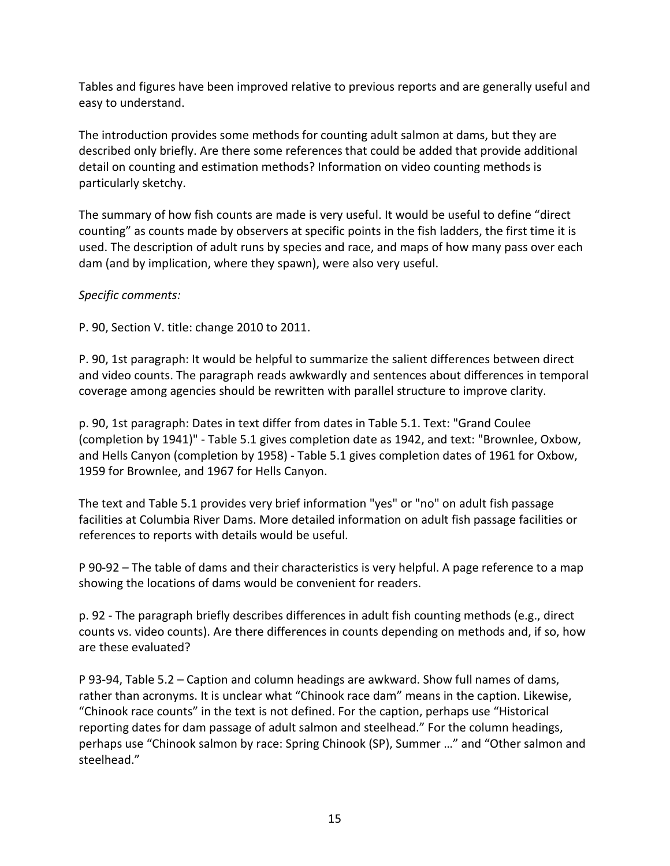Tables and figures have been improved relative to previous reports and are generally useful and easy to understand.

The introduction provides some methods for counting adult salmon at dams, but they are described only briefly. Are there some references that could be added that provide additional detail on counting and estimation methods? Information on video counting methods is particularly sketchy.

The summary of how fish counts are made is very useful. It would be useful to define "direct counting" as counts made by observers at specific points in the fish ladders, the first time it is used. The description of adult runs by species and race, and maps of how many pass over each dam (and by implication, where they spawn), were also very useful.

#### *Specific comments:*

P. 90, Section V. title: change 2010 to 2011.

P. 90, 1st paragraph: It would be helpful to summarize the salient differences between direct and video counts. The paragraph reads awkwardly and sentences about differences in temporal coverage among agencies should be rewritten with parallel structure to improve clarity.

p. 90, 1st paragraph: Dates in text differ from dates in Table 5.1. Text: "Grand Coulee (completion by 1941)" - Table 5.1 gives completion date as 1942, and text: "Brownlee, Oxbow, and Hells Canyon (completion by 1958) - Table 5.1 gives completion dates of 1961 for Oxbow, 1959 for Brownlee, and 1967 for Hells Canyon.

The text and Table 5.1 provides very brief information "yes" or "no" on adult fish passage facilities at Columbia River Dams. More detailed information on adult fish passage facilities or references to reports with details would be useful.

P 90-92 – The table of dams and their characteristics is very helpful. A page reference to a map showing the locations of dams would be convenient for readers.

p. 92 - The paragraph briefly describes differences in adult fish counting methods (e.g., direct counts vs. video counts). Are there differences in counts depending on methods and, if so, how are these evaluated?

P 93-94, Table 5.2 – Caption and column headings are awkward. Show full names of dams, rather than acronyms. It is unclear what "Chinook race dam" means in the caption. Likewise, "Chinook race counts" in the text is not defined. For the caption, perhaps use "Historical reporting dates for dam passage of adult salmon and steelhead." For the column headings, perhaps use "Chinook salmon by race: Spring Chinook (SP), Summer …" and "Other salmon and steelhead."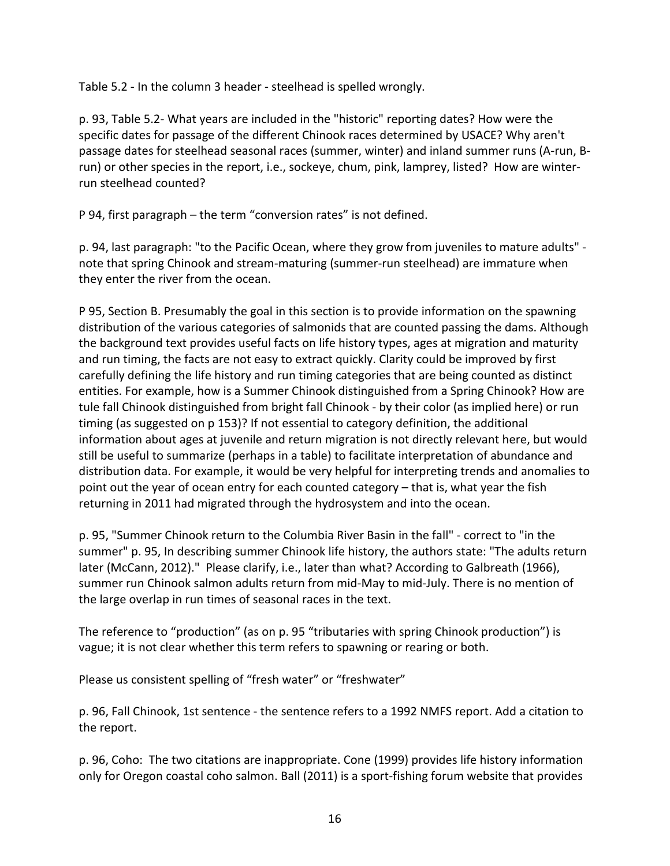Table 5.2 - In the column 3 header - steelhead is spelled wrongly.

p. 93, Table 5.2- What years are included in the "historic" reporting dates? How were the specific dates for passage of the different Chinook races determined by USACE? Why aren't passage dates for steelhead seasonal races (summer, winter) and inland summer runs (A-run, Brun) or other species in the report, i.e., sockeye, chum, pink, lamprey, listed? How are winterrun steelhead counted?

P 94, first paragraph – the term "conversion rates" is not defined.

p. 94, last paragraph: "to the Pacific Ocean, where they grow from juveniles to mature adults" note that spring Chinook and stream-maturing (summer-run steelhead) are immature when they enter the river from the ocean.

P 95, Section B. Presumably the goal in this section is to provide information on the spawning distribution of the various categories of salmonids that are counted passing the dams. Although the background text provides useful facts on life history types, ages at migration and maturity and run timing, the facts are not easy to extract quickly. Clarity could be improved by first carefully defining the life history and run timing categories that are being counted as distinct entities. For example, how is a Summer Chinook distinguished from a Spring Chinook? How are tule fall Chinook distinguished from bright fall Chinook - by their color (as implied here) or run timing (as suggested on p 153)? If not essential to category definition, the additional information about ages at juvenile and return migration is not directly relevant here, but would still be useful to summarize (perhaps in a table) to facilitate interpretation of abundance and distribution data. For example, it would be very helpful for interpreting trends and anomalies to point out the year of ocean entry for each counted category – that is, what year the fish returning in 2011 had migrated through the hydrosystem and into the ocean.

p. 95, "Summer Chinook return to the Columbia River Basin in the fall" - correct to "in the summer" p. 95, In describing summer Chinook life history, the authors state: "The adults return later (McCann, 2012)." Please clarify, i.e., later than what? According to Galbreath (1966), summer run Chinook salmon adults return from mid-May to mid-July. There is no mention of the large overlap in run times of seasonal races in the text.

The reference to "production" (as on p. 95 "tributaries with spring Chinook production") is vague; it is not clear whether this term refers to spawning or rearing or both.

Please us consistent spelling of "fresh water" or "freshwater"

p. 96, Fall Chinook, 1st sentence - the sentence refers to a 1992 NMFS report. Add a citation to the report.

p. 96, Coho: The two citations are inappropriate. Cone (1999) provides life history information only for Oregon coastal coho salmon. Ball (2011) is a sport-fishing forum website that provides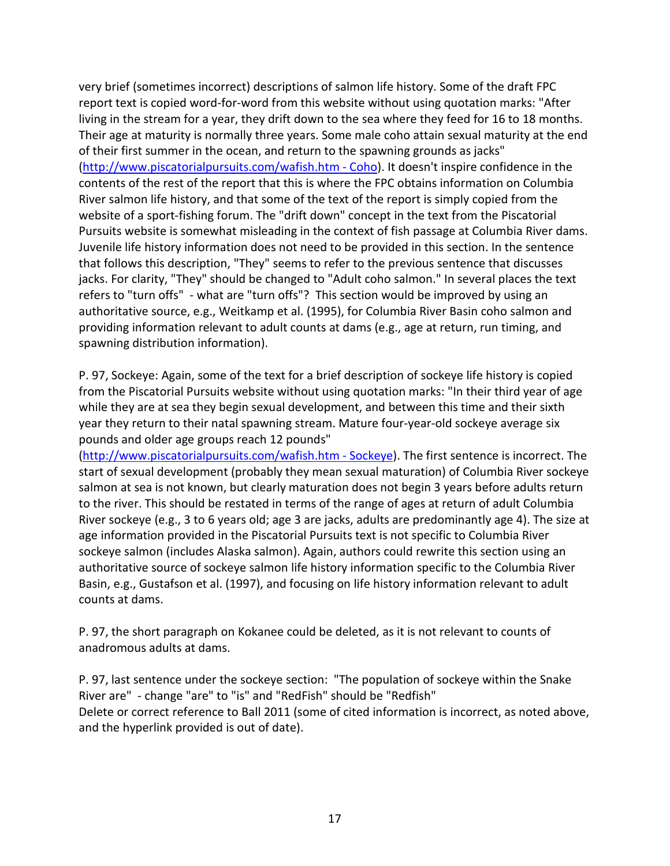very brief (sometimes incorrect) descriptions of salmon life history. Some of the draft FPC report text is copied word-for-word from this website without using quotation marks: "After living in the stream for a year, they drift down to the sea where they feed for 16 to 18 months. Their age at maturity is normally three years. Some male coho attain sexual maturity at the end of their first summer in the ocean, and return to the spawning grounds as jacks" [\(http://www.piscatorialpursuits.com/wafish.htm -](http://www.piscatorialpursuits.com/wafish.htm#Coho) Coho). It doesn't inspire confidence in the contents of the rest of the report that this is where the FPC obtains information on Columbia River salmon life history, and that some of the text of the report is simply copied from the website of a sport-fishing forum. The "drift down" concept in the text from the Piscatorial Pursuits website is somewhat misleading in the context of fish passage at Columbia River dams. Juvenile life history information does not need to be provided in this section. In the sentence that follows this description, "They" seems to refer to the previous sentence that discusses jacks. For clarity, "They" should be changed to "Adult coho salmon." In several places the text refers to "turn offs" - what are "turn offs"? This section would be improved by using an authoritative source, e.g., Weitkamp et al. (1995), for Columbia River Basin coho salmon and providing information relevant to adult counts at dams (e.g., age at return, run timing, and spawning distribution information).

P. 97, Sockeye: Again, some of the text for a brief description of sockeye life history is copied from the Piscatorial Pursuits website without using quotation marks: "In their third year of age while they are at sea they begin sexual development, and between this time and their sixth year they return to their natal spawning stream. Mature four-year-old sockeye average six pounds and older age groups reach 12 pounds"

[\(http://www.piscatorialpursuits.com/wafish.htm -](http://www.piscatorialpursuits.com/wafish.htm#Sockeye) Sockeye). The first sentence is incorrect. The start of sexual development (probably they mean sexual maturation) of Columbia River sockeye salmon at sea is not known, but clearly maturation does not begin 3 years before adults return to the river. This should be restated in terms of the range of ages at return of adult Columbia River sockeye (e.g., 3 to 6 years old; age 3 are jacks, adults are predominantly age 4). The size at age information provided in the Piscatorial Pursuits text is not specific to Columbia River sockeye salmon (includes Alaska salmon). Again, authors could rewrite this section using an authoritative source of sockeye salmon life history information specific to the Columbia River Basin, e.g., Gustafson et al. (1997), and focusing on life history information relevant to adult counts at dams.

P. 97, the short paragraph on Kokanee could be deleted, as it is not relevant to counts of anadromous adults at dams.

P. 97, last sentence under the sockeye section: "The population of sockeye within the Snake River are" - change "are" to "is" and "RedFish" should be "Redfish" Delete or correct reference to Ball 2011 (some of cited information is incorrect, as noted above, and the hyperlink provided is out of date).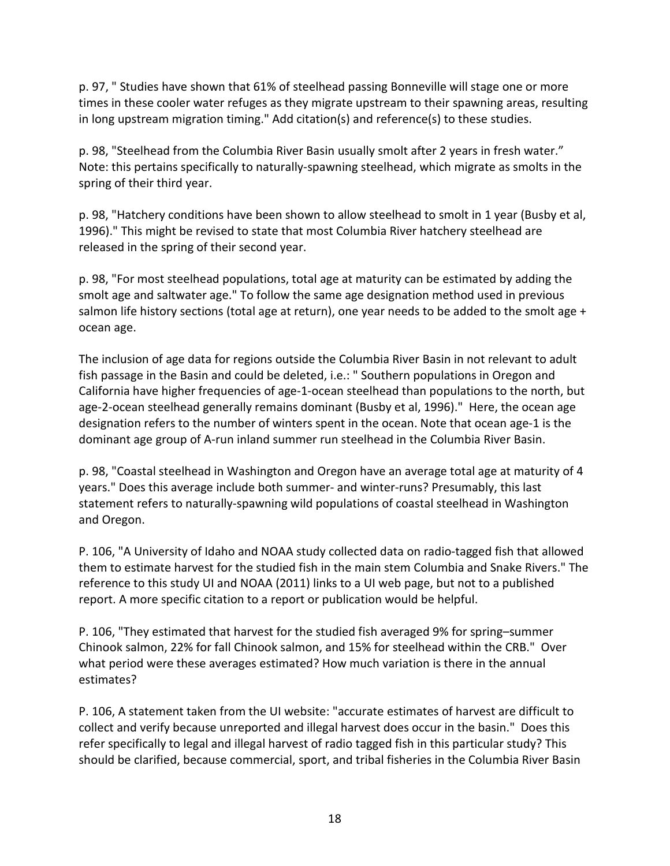p. 97, " Studies have shown that 61% of steelhead passing Bonneville will stage one or more times in these cooler water refuges as they migrate upstream to their spawning areas, resulting in long upstream migration timing." Add citation(s) and reference(s) to these studies.

p. 98, "Steelhead from the Columbia River Basin usually smolt after 2 years in fresh water." Note: this pertains specifically to naturally-spawning steelhead, which migrate as smolts in the spring of their third year.

p. 98, "Hatchery conditions have been shown to allow steelhead to smolt in 1 year (Busby et al, 1996)." This might be revised to state that most Columbia River hatchery steelhead are released in the spring of their second year.

p. 98, "For most steelhead populations, total age at maturity can be estimated by adding the smolt age and saltwater age." To follow the same age designation method used in previous salmon life history sections (total age at return), one year needs to be added to the smolt age + ocean age.

The inclusion of age data for regions outside the Columbia River Basin in not relevant to adult fish passage in the Basin and could be deleted, i.e.: " Southern populations in Oregon and California have higher frequencies of age-1-ocean steelhead than populations to the north, but age-2-ocean steelhead generally remains dominant (Busby et al, 1996)." Here, the ocean age designation refers to the number of winters spent in the ocean. Note that ocean age-1 is the dominant age group of A-run inland summer run steelhead in the Columbia River Basin.

p. 98, "Coastal steelhead in Washington and Oregon have an average total age at maturity of 4 years." Does this average include both summer- and winter-runs? Presumably, this last statement refers to naturally-spawning wild populations of coastal steelhead in Washington and Oregon.

P. 106, "A University of Idaho and NOAA study collected data on radio-tagged fish that allowed them to estimate harvest for the studied fish in the main stem Columbia and Snake Rivers." The reference to this study UI and NOAA (2011) links to a UI web page, but not to a published report. A more specific citation to a report or publication would be helpful.

P. 106, "They estimated that harvest for the studied fish averaged 9% for spring–summer Chinook salmon, 22% for fall Chinook salmon, and 15% for steelhead within the CRB." Over what period were these averages estimated? How much variation is there in the annual estimates?

P. 106, A statement taken from the UI website: "accurate estimates of harvest are difficult to collect and verify because unreported and illegal harvest does occur in the basin." Does this refer specifically to legal and illegal harvest of radio tagged fish in this particular study? This should be clarified, because commercial, sport, and tribal fisheries in the Columbia River Basin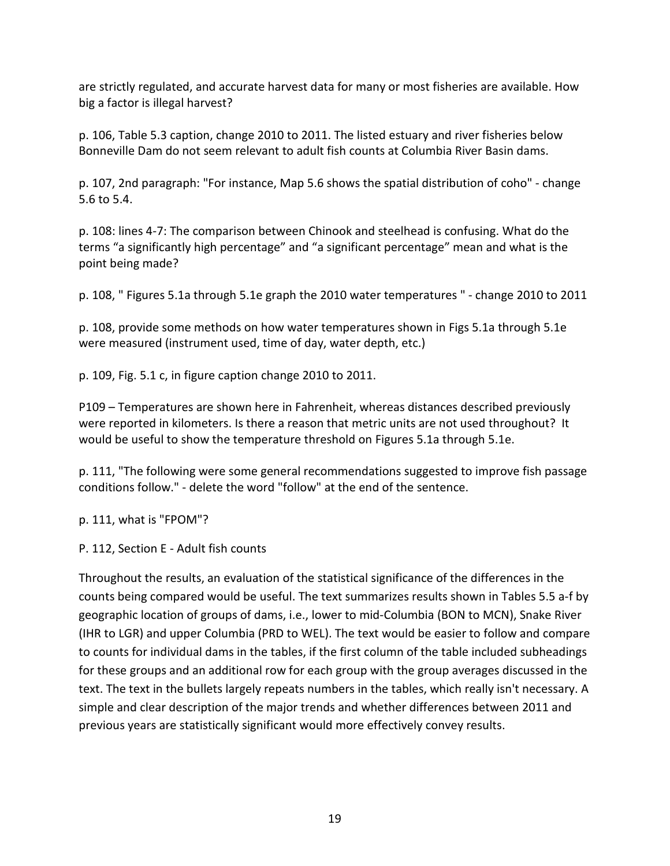are strictly regulated, and accurate harvest data for many or most fisheries are available. How big a factor is illegal harvest?

p. 106, Table 5.3 caption, change 2010 to 2011. The listed estuary and river fisheries below Bonneville Dam do not seem relevant to adult fish counts at Columbia River Basin dams.

p. 107, 2nd paragraph: "For instance, Map 5.6 shows the spatial distribution of coho" - change 5.6 to 5.4.

p. 108: lines 4-7: The comparison between Chinook and steelhead is confusing. What do the terms "a significantly high percentage" and "a significant percentage" mean and what is the point being made?

p. 108, " Figures 5.1a through 5.1e graph the 2010 water temperatures " - change 2010 to 2011

p. 108, provide some methods on how water temperatures shown in Figs 5.1a through 5.1e were measured (instrument used, time of day, water depth, etc.)

p. 109, Fig. 5.1 c, in figure caption change 2010 to 2011.

P109 – Temperatures are shown here in Fahrenheit, whereas distances described previously were reported in kilometers. Is there a reason that metric units are not used throughout? It would be useful to show the temperature threshold on Figures 5.1a through 5.1e.

p. 111, "The following were some general recommendations suggested to improve fish passage conditions follow." - delete the word "follow" at the end of the sentence.

p. 111, what is "FPOM"?

P. 112, Section E - Adult fish counts

Throughout the results, an evaluation of the statistical significance of the differences in the counts being compared would be useful. The text summarizes results shown in Tables 5.5 a-f by geographic location of groups of dams, i.e., lower to mid-Columbia (BON to MCN), Snake River (IHR to LGR) and upper Columbia (PRD to WEL). The text would be easier to follow and compare to counts for individual dams in the tables, if the first column of the table included subheadings for these groups and an additional row for each group with the group averages discussed in the text. The text in the bullets largely repeats numbers in the tables, which really isn't necessary. A simple and clear description of the major trends and whether differences between 2011 and previous years are statistically significant would more effectively convey results.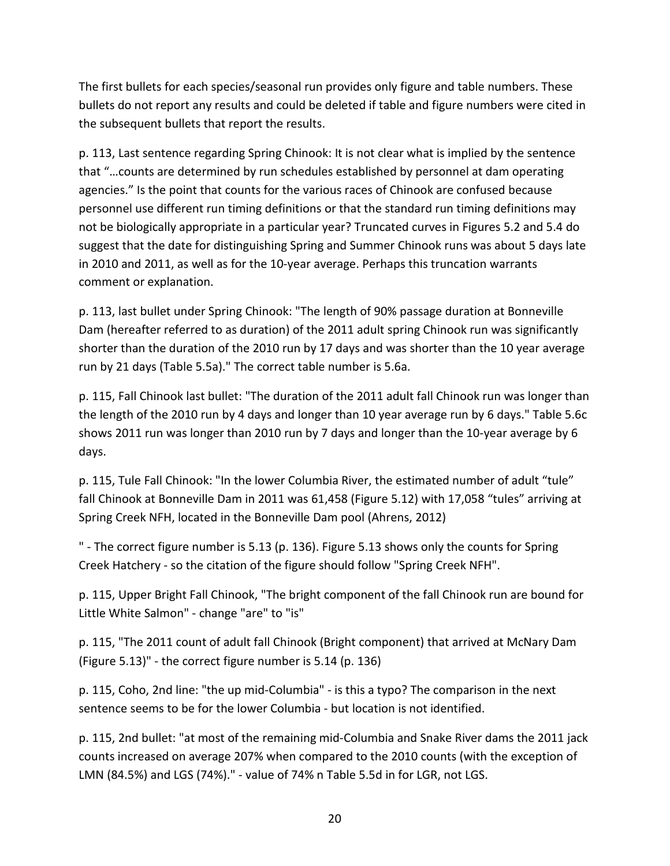The first bullets for each species/seasonal run provides only figure and table numbers. These bullets do not report any results and could be deleted if table and figure numbers were cited in the subsequent bullets that report the results.

p. 113, Last sentence regarding Spring Chinook: It is not clear what is implied by the sentence that "…counts are determined by run schedules established by personnel at dam operating agencies." Is the point that counts for the various races of Chinook are confused because personnel use different run timing definitions or that the standard run timing definitions may not be biologically appropriate in a particular year? Truncated curves in Figures 5.2 and 5.4 do suggest that the date for distinguishing Spring and Summer Chinook runs was about 5 days late in 2010 and 2011, as well as for the 10-year average. Perhaps this truncation warrants comment or explanation.

p. 113, last bullet under Spring Chinook: "The length of 90% passage duration at Bonneville Dam (hereafter referred to as duration) of the 2011 adult spring Chinook run was significantly shorter than the duration of the 2010 run by 17 days and was shorter than the 10 year average run by 21 days (Table 5.5a)." The correct table number is 5.6a.

p. 115, Fall Chinook last bullet: "The duration of the 2011 adult fall Chinook run was longer than the length of the 2010 run by 4 days and longer than 10 year average run by 6 days." Table 5.6c shows 2011 run was longer than 2010 run by 7 days and longer than the 10-year average by 6 days.

p. 115, Tule Fall Chinook: "In the lower Columbia River, the estimated number of adult "tule" fall Chinook at Bonneville Dam in 2011 was 61,458 (Figure 5.12) with 17,058 "tules" arriving at Spring Creek NFH, located in the Bonneville Dam pool (Ahrens, 2012)

" - The correct figure number is 5.13 (p. 136). Figure 5.13 shows only the counts for Spring Creek Hatchery - so the citation of the figure should follow "Spring Creek NFH".

p. 115, Upper Bright Fall Chinook, "The bright component of the fall Chinook run are bound for Little White Salmon" - change "are" to "is"

p. 115, "The 2011 count of adult fall Chinook (Bright component) that arrived at McNary Dam (Figure 5.13)" - the correct figure number is 5.14 (p. 136)

p. 115, Coho, 2nd line: "the up mid-Columbia" - is this a typo? The comparison in the next sentence seems to be for the lower Columbia - but location is not identified.

p. 115, 2nd bullet: "at most of the remaining mid-Columbia and Snake River dams the 2011 jack counts increased on average 207% when compared to the 2010 counts (with the exception of LMN (84.5%) and LGS (74%)." - value of 74% n Table 5.5d in for LGR, not LGS.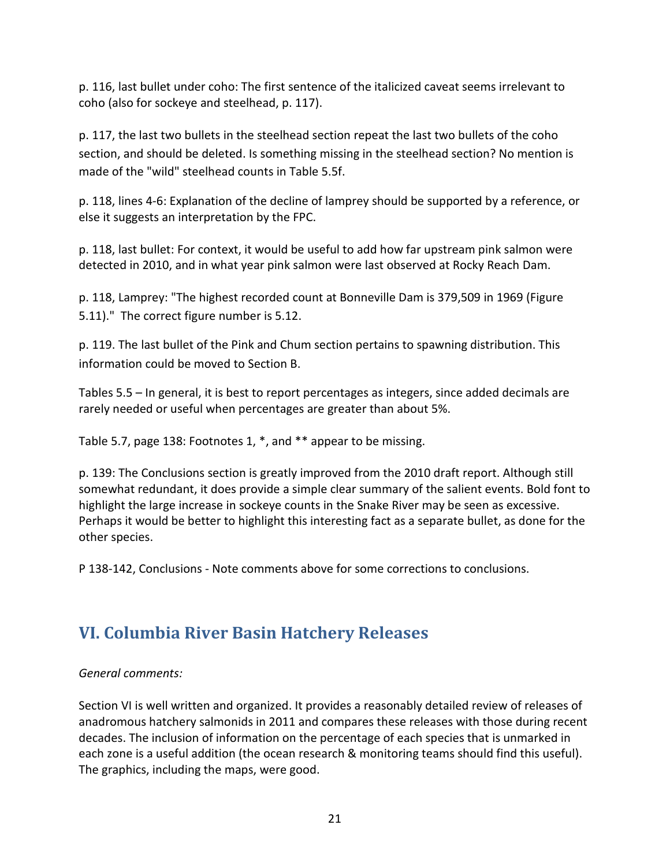p. 116, last bullet under coho: The first sentence of the italicized caveat seems irrelevant to coho (also for sockeye and steelhead, p. 117).

p. 117, the last two bullets in the steelhead section repeat the last two bullets of the coho section, and should be deleted. Is something missing in the steelhead section? No mention is made of the "wild" steelhead counts in Table 5.5f.

p. 118, lines 4-6: Explanation of the decline of lamprey should be supported by a reference, or else it suggests an interpretation by the FPC.

p. 118, last bullet: For context, it would be useful to add how far upstream pink salmon were detected in 2010, and in what year pink salmon were last observed at Rocky Reach Dam.

p. 118, Lamprey: "The highest recorded count at Bonneville Dam is 379,509 in 1969 (Figure 5.11)." The correct figure number is 5.12.

p. 119. The last bullet of the Pink and Chum section pertains to spawning distribution. This information could be moved to Section B.

Tables 5.5 – In general, it is best to report percentages as integers, since added decimals are rarely needed or useful when percentages are greater than about 5%.

Table 5.7, page 138: Footnotes 1, \*, and \*\* appear to be missing.

p. 139: The Conclusions section is greatly improved from the 2010 draft report. Although still somewhat redundant, it does provide a simple clear summary of the salient events. Bold font to highlight the large increase in sockeye counts in the Snake River may be seen as excessive. Perhaps it would be better to highlight this interesting fact as a separate bullet, as done for the other species.

P 138-142, Conclusions - Note comments above for some corrections to conclusions.

## <span id="page-20-0"></span>**VI. Columbia River Basin Hatchery Releases**

#### *General comments:*

Section VI is well written and organized. It provides a reasonably detailed review of releases of anadromous hatchery salmonids in 2011 and compares these releases with those during recent decades. The inclusion of information on the percentage of each species that is unmarked in each zone is a useful addition (the ocean research & monitoring teams should find this useful). The graphics, including the maps, were good.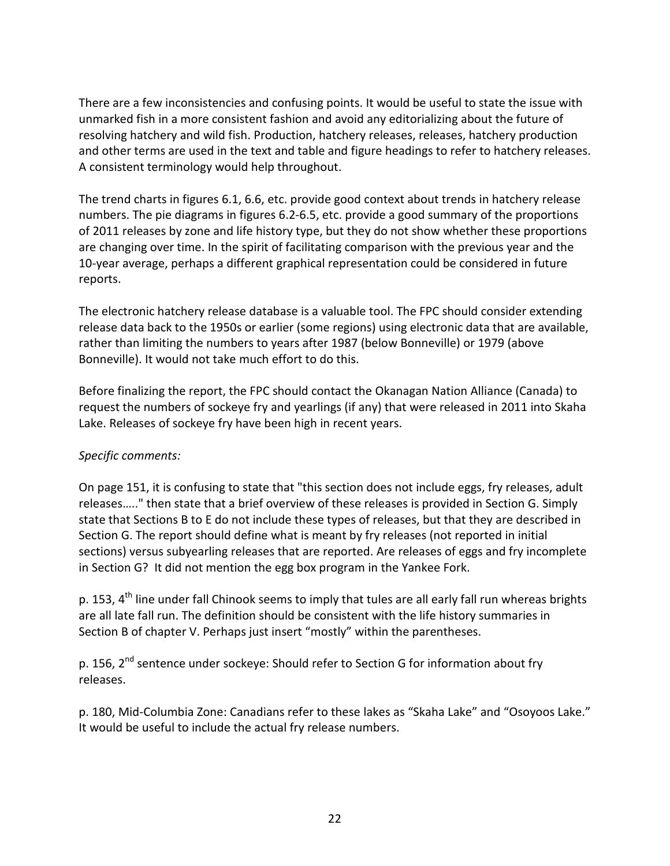There are a few inconsistencies and confusing points. It would be useful to state the issue with unmarked fish in a more consistent fashion and avoid any editorializing about the future of resolving hatchery and wild fish. Production, hatchery releases, releases, hatchery production and other terms are used in the text and table and figure headings to refer to hatchery releases. A consistent terminology would help throughout.

The trend charts in figures 6.1, 6.6, etc. provide good context about trends in hatchery release numbers. The pie diagrams in figures 6.2-6.5, etc. provide a good summary of the proportions of 2011 releases by zone and life history type, but they do not show whether these proportions are changing over time. In the spirit of facilitating comparison with the previous year and the 10-year average, perhaps a different graphical representation could be considered in future reports.

The electronic hatchery release database is a valuable tool. The FPC should consider extending release data back to the 1950s or earlier (some regions) using electronic data that are available, rather than limiting the numbers to years after 1987 (below Bonneville) or 1979 (above Bonneville). It would not take much effort to do this.

Before finalizing the report, the FPC should contact the Okanagan Nation Alliance (Canada) to request the numbers of sockeye fry and yearlings (if any) that were released in 2011 into Skaha Lake. Releases of sockeye fry have been high in recent years.

#### *Specific comments:*

On page 151, it is confusing to state that "this section does not include eggs, fry releases, adult releases….." then state that a brief overview of these releases is provided in Section G. Simply state that Sections B to E do not include these types of releases, but that they are described in Section G. The report should define what is meant by fry releases (not reported in initial sections) versus subyearling releases that are reported. Are releases of eggs and fry incomplete in Section G? It did not mention the egg box program in the Yankee Fork.

p. 153, 4<sup>th</sup> line under fall Chinook seems to imply that tules are all early fall run whereas brights are all late fall run. The definition should be consistent with the life history summaries in Section B of chapter V. Perhaps just insert "mostly" within the parentheses.

p. 156, 2<sup>nd</sup> sentence under sockeye: Should refer to Section G for information about fry releases.

p. 180, Mid-Columbia Zone: Canadians refer to these lakes as "Skaha Lake" and "Osoyoos Lake." It would be useful to include the actual fry release numbers.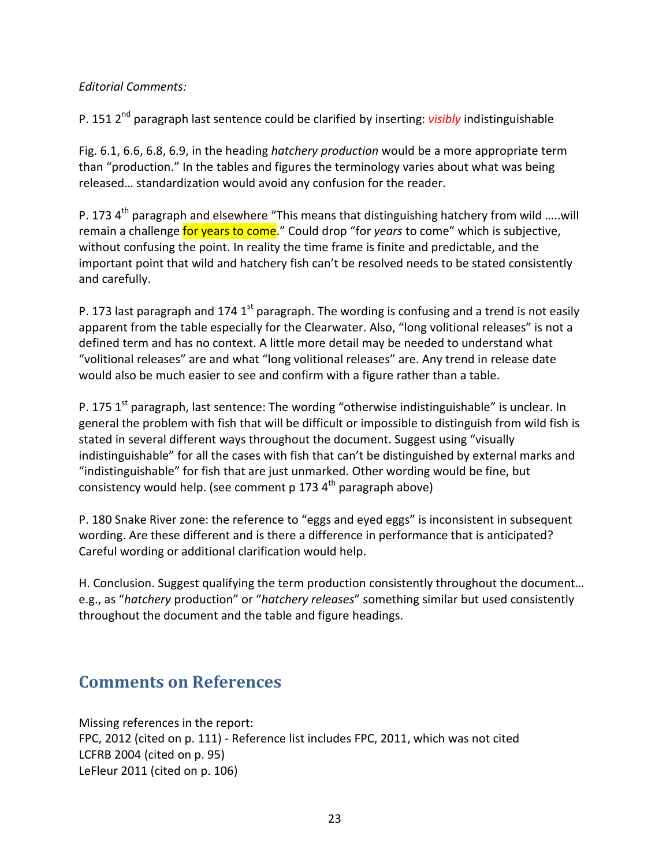#### *Editorial Comments:*

P. 151 2nd paragraph last sentence could be clarified by inserting: *visibly* indistinguishable

Fig. 6.1, 6.6, 6.8, 6.9, in the heading *hatchery production* would be a more appropriate term than "production." In the tables and figures the terminology varies about what was being released… standardization would avoid any confusion for the reader.

P. 173  $4<sup>th</sup>$  paragraph and elsewhere "This means that distinguishing hatchery from wild .....will remain a challenge for years to come." Could drop "for *years* to come" which is subjective, without confusing the point. In reality the time frame is finite and predictable, and the important point that wild and hatchery fish can't be resolved needs to be stated consistently and carefully.

P. 173 last paragraph and 174 1<sup>st</sup> paragraph. The wording is confusing and a trend is not easily apparent from the table especially for the Clearwater. Also, "long volitional releases" is not a defined term and has no context. A little more detail may be needed to understand what "volitional releases" are and what "long volitional releases" are. Any trend in release date would also be much easier to see and confirm with a figure rather than a table.

P. 175  $1^{st}$  paragraph, last sentence: The wording "otherwise indistinguishable" is unclear. In general the problem with fish that will be difficult or impossible to distinguish from wild fish is stated in several different ways throughout the document. Suggest using "visually indistinguishable" for all the cases with fish that can't be distinguished by external marks and "indistinguishable" for fish that are just unmarked. Other wording would be fine, but consistency would help. (see comment p 173  $4<sup>th</sup>$  paragraph above)

P. 180 Snake River zone: the reference to "eggs and eyed eggs" is inconsistent in subsequent wording. Are these different and is there a difference in performance that is anticipated? Careful wording or additional clarification would help.

H. Conclusion. Suggest qualifying the term production consistently throughout the document… e.g., as "*hatchery* production" or "*hatchery releases*" something similar but used consistently throughout the document and the table and figure headings.

## <span id="page-22-0"></span>**Comments on References**

Missing references in the report: FPC, 2012 (cited on p. 111) - Reference list includes FPC, 2011, which was not cited LCFRB 2004 (cited on p. 95) LeFleur 2011 (cited on p. 106)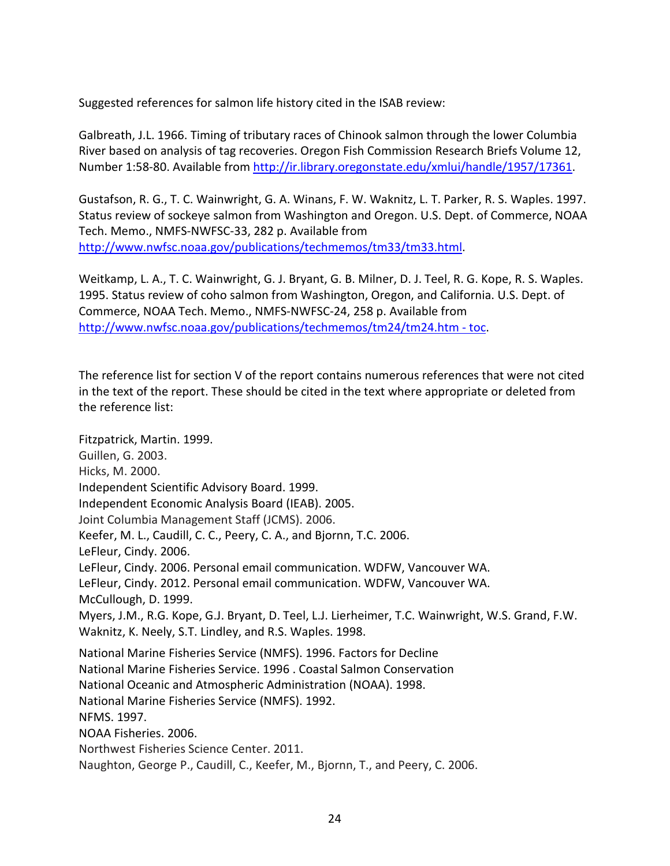Suggested references for salmon life history cited in the ISAB review:

Galbreath, J.L. 1966. Timing of tributary races of Chinook salmon through the lower Columbia River based on analysis of tag recoveries. Oregon Fish Commission Research Briefs Volume 12, Number 1:58-80. Available from [http://ir.library.oregonstate.edu/xmlui/handle/1957/17361.](http://ir.library.oregonstate.edu/xmlui/handle/1957/17361)

Gustafson, R. G., T. C. Wainwright, G. A. Winans, F. W. Waknitz, L. T. Parker, R. S. Waples. 1997. Status review of sockeye salmon from Washington and Oregon. U.S. Dept. of Commerce, NOAA Tech. Memo., NMFS-NWFSC-33, 282 p. Available from [http://www.nwfsc.noaa.gov/publications/techmemos/tm33/tm33.html.](http://www.nwfsc.noaa.gov/publications/techmemos/tm33/tm33.html)

Weitkamp, L. A., T. C. Wainwright, G. J. Bryant, G. B. Milner, D. J. Teel, R. G. Kope, R. S. Waples. 1995. Status review of coho salmon from Washington, Oregon, and California. U.S. Dept. of Commerce, NOAA Tech. Memo., NMFS-NWFSC-24, 258 p. Available from [http://www.nwfsc.noaa.gov/publications/techmemos/tm24/tm24.htm -](http://www.nwfsc.noaa.gov/publications/techmemos/tm24/tm24.htm#toc) toc.

The reference list for section V of the report contains numerous references that were not cited in the text of the report. These should be cited in the text where appropriate or deleted from the reference list:

Fitzpatrick, Martin. 1999. Guillen, G. 2003. Hicks, M. 2000. Independent Scientific Advisory Board. 1999. Independent Economic Analysis Board (IEAB). 2005. Joint Columbia Management Staff (JCMS). 2006. Keefer, M. L., Caudill, C. C., Peery, C. A., and Bjornn, T.C. 2006. LeFleur, Cindy. 2006. LeFleur, Cindy. 2006. Personal email communication. WDFW, Vancouver WA. LeFleur, Cindy. 2012. Personal email communication. WDFW, Vancouver WA. McCullough, D. 1999. Myers, J.M., R.G. Kope, G.J. Bryant, D. Teel, L.J. Lierheimer, T.C. Wainwright, W.S. Grand, F.W. Waknitz, K. Neely, S.T. Lindley, and R.S. Waples. 1998. National Marine Fisheries Service (NMFS). 1996. Factors for Decline National Marine Fisheries Service. 1996 . Coastal Salmon Conservation National Oceanic and Atmospheric Administration (NOAA). 1998. National Marine Fisheries Service (NMFS). 1992. NFMS. 1997. NOAA Fisheries. 2006. Northwest Fisheries Science Center. 2011.

Naughton, George P., Caudill, C., Keefer, M., Bjornn, T., and Peery, C. 2006.